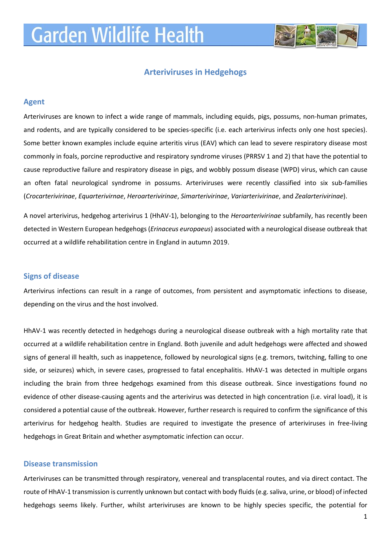# **Garden Wildlife Health**



## **Arteriviruses in Hedgehogs**

## **Agent**

Arteriviruses are known to infect a wide range of mammals, including equids, pigs, possums, non-human primates, and rodents, and are typically considered to be species-specific (i.e. each arterivirus infects only one host species). Some better known examples include equine arteritis virus (EAV) which can lead to severe respiratory disease most commonly in foals, porcine reproductive and respiratory syndrome viruses (PRRSV 1 and 2) that have the potential to cause reproductive failure and respiratory disease in pigs, and wobbly possum disease (WPD) virus, which can cause an often fatal neurological syndrome in possums. Arteriviruses were recently classified into six sub-families (*Crocarterivirinae*, *Equarterivirnae*, *Heroarterivirinae*, *Simarterivirinae*, *Variarterivirinae*, and *Zealarterivirinae*).

A novel arterivirus, hedgehog arterivirus 1 (HhAV-1), belonging to the *Heroarterivirinae* subfamily, has recently been detected in Western European hedgehogs (*Erinaceus europaeus*) associated with a neurological disease outbreak that occurred at a wildlife rehabilitation centre in England in autumn 2019.

#### **Signs of disease**

Arterivirus infections can result in a range of outcomes, from persistent and asymptomatic infections to disease, depending on the virus and the host involved.

HhAV-1 was recently detected in hedgehogs during a neurological disease outbreak with a high mortality rate that occurred at a wildlife rehabilitation centre in England. Both juvenile and adult hedgehogs were affected and showed signs of general ill health, such as inappetence, followed by neurological signs (e.g. tremors, twitching, falling to one side, or seizures) which, in severe cases, progressed to fatal encephalitis. HhAV-1 was detected in multiple organs including the brain from three hedgehogs examined from this disease outbreak. Since investigations found no evidence of other disease-causing agents and the arterivirus was detected in high concentration (i.e. viral load), it is considered a potential cause of the outbreak. However, further research is required to confirm the significance of this arterivirus for hedgehog health. Studies are required to investigate the presence of arteriviruses in free-living hedgehogs in Great Britain and whether asymptomatic infection can occur.

## **Disease transmission**

Arteriviruses can be transmitted through respiratory, venereal and transplacental routes, and via direct contact. The route of HhAV-1 transmission is currently unknown but contact with body fluids (e.g. saliva, urine, or blood) of infected hedgehogs seems likely. Further, whilst arteriviruses are known to be highly species specific, the potential for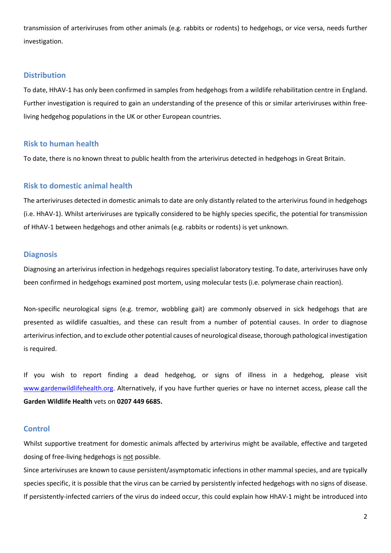transmission of arteriviruses from other animals (e.g. rabbits or rodents) to hedgehogs, or vice versa, needs further investigation.

### **Distribution**

To date, HhAV-1 has only been confirmed in samples from hedgehogs from a wildlife rehabilitation centre in England. Further investigation is required to gain an understanding of the presence of this or similar arteriviruses within freeliving hedgehog populations in the UK or other European countries.

#### **Risk to human health**

To date, there is no known threat to public health from the arterivirus detected in hedgehogs in Great Britain.

## **Risk to domestic animal health**

The arteriviruses detected in domestic animals to date are only distantly related to the arterivirus found in hedgehogs (i.e. HhAV-1). Whilst arteriviruses are typically considered to be highly species specific, the potential for transmission of HhAV-1 between hedgehogs and other animals (e.g. rabbits or rodents) is yet unknown.

### **Diagnosis**

Diagnosing an arterivirus infection in hedgehogs requires specialist laboratory testing. To date, arteriviruses have only been confirmed in hedgehogs examined post mortem, using molecular tests (i.e. polymerase chain reaction).

Non-specific neurological signs (e.g. tremor, wobbling gait) are commonly observed in sick hedgehogs that are presented as wildlife casualties, and these can result from a number of potential causes. In order to diagnose arterivirus infection, and to exclude other potential causes of neurological disease, thorough pathological investigation is required.

If you wish to report finding a dead hedgehog, or signs of illness in a hedgehog, please visit [www.gardenwildlifehealth.org.](http://www.gardenwildlifehealth.org/) Alternatively, if you have further queries or have no internet access, please call the **Garden Wildlife Health** vets on **0207 449 6685.**

#### **Control**

Whilst supportive treatment for domestic animals affected by arterivirus might be available, effective and targeted dosing of free-living hedgehogs is not possible.

Since arteriviruses are known to cause persistent/asymptomatic infections in other mammal species, and are typically species specific, it is possible that the virus can be carried by persistently infected hedgehogs with no signs of disease. If persistently-infected carriers of the virus do indeed occur, this could explain how HhAV-1 might be introduced into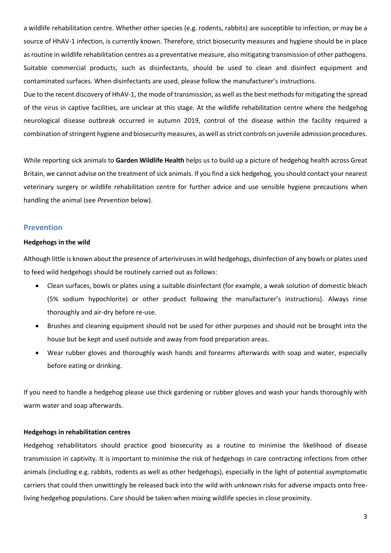a wildlife rehabilitation centre. Whether other species (e.g. rodents, rabbits) are susceptible to infection, or may be a source of HhAV-1 infection, is currently known. Therefore, strict biosecurity measures and hygiene should be in place as routine in wildlife rehabilitation centres as a preventative measure, also mitigating transmission of other pathogens. Suitable commercial products, such as disinfectants, should be used to clean and disinfect equipment and contaminated surfaces. When disinfectants are used, please follow the manufacturer's instructions.

Due to the recent discovery of HhAV-1, the mode of transmission, as well as the best methods for mitigating the spread of the virus in captive facilities, are unclear at this stage. At the wildlife rehabilitation centre where the hedgehog neurological disease outbreak occurred in autumn 2019, control of the disease within the facility required a combination of stringent hygiene and biosecurity measures, as well as strict controls on juvenile admission procedures.

While reporting sick animals to **Garden Wildlife Health** helps us to build up a picture of hedgehog health across Great Britain, we cannot advise on the treatment of sick animals. If you find a sick hedgehog, you should contact your nearest veterinary surgery or wildlife rehabilitation centre for further advice and use sensible hygiene precautions when handling the animal (see *Prevention* below).

## **Prevention**

#### **Hedgehogs in the wild**

Although little is known about the presence of arteriviruses in wild hedgehogs, disinfection of any bowls or plates used to feed wild hedgehogs should be routinely carried out as follows:

- Clean surfaces, bowls or plates using a suitable disinfectant (for example, a weak solution of domestic bleach (5% sodium hypochlorite) or other product following the manufacturer's instructions). Always rinse thoroughly and air-dry before re-use.
- Brushes and cleaning equipment should not be used for other purposes and should not be brought into the house but be kept and used outside and away from food preparation areas.
- Wear rubber gloves and thoroughly wash hands and forearms afterwards with soap and water, especially before eating or drinking.

If you need to handle a hedgehog please use thick gardening or rubber gloves and wash your hands thoroughly with warm water and soap afterwards.

#### **Hedgehogs in rehabilitation centres**

Hedgehog rehabilitators should practice good biosecurity as a routine to minimise the likelihood of disease transmission in captivity. It is important to minimise the risk of hedgehogs in care contracting infections from other animals (including e.g. rabbits, rodents as well as other hedgehogs), especially in the light of potential asymptomatic carriers that could then unwittingly be released back into the wild with unknown risks for adverse impacts onto freeliving hedgehog populations. Care should be taken when mixing wildlife species in close proximity.